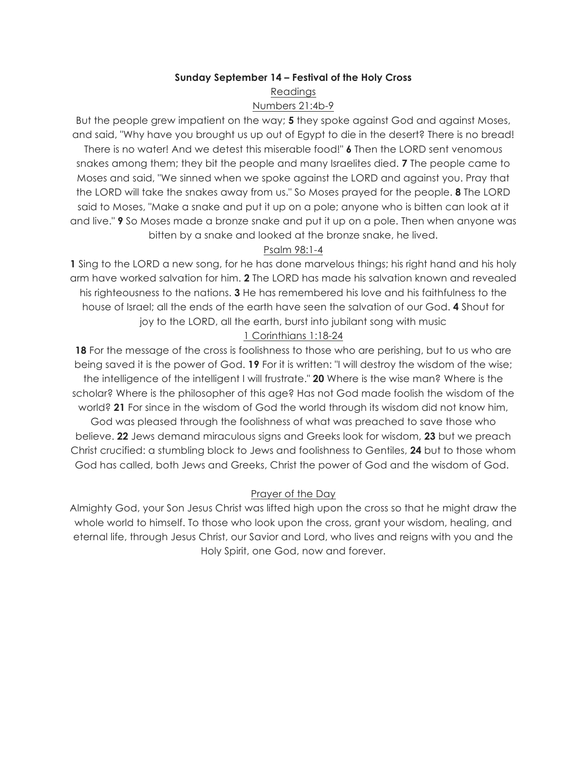#### **Sunday September 14 – Festival of the Holy Cross**

Readings

#### Numbers 21:4b-9

But the people grew impatient on the way; **5** they spoke against God and against Moses, and said, "Why have you brought us up out of Egypt to die in the desert? There is no bread! There is no water! And we detest this miserable food!" **6** Then the LORD sent venomous snakes among them; they bit the people and many Israelites died. **7** The people came to Moses and said, "We sinned when we spoke against the LORD and against you. Pray that the LORD will take the snakes away from us." So Moses prayed for the people. **8** The LORD said to Moses, "Make a snake and put it up on a pole; anyone who is bitten can look at it and live." **9** So Moses made a bronze snake and put it up on a pole. Then when anyone was bitten by a snake and looked at the bronze snake, he lived.

### Psalm 98:1-4

**1** Sing to the LORD a new song, for he has done marvelous things; his right hand and his holy arm have worked salvation for him. **2** The LORD has made his salvation known and revealed his righteousness to the nations. **3** He has remembered his love and his faithfulness to the house of Israel; all the ends of the earth have seen the salvation of our God. **4** Shout for joy to the LORD, all the earth, burst into jubilant song with music

## 1 Corinthians 1:18-24

**18** For the message of the cross is foolishness to those who are perishing, but to us who are being saved it is the power of God. **19** For it is written: "I will destroy the wisdom of the wise; the intelligence of the intelligent I will frustrate." **20** Where is the wise man? Where is the scholar? Where is the philosopher of this age? Has not God made foolish the wisdom of the world? **21** For since in the wisdom of God the world through its wisdom did not know him, God was pleased through the foolishness of what was preached to save those who believe. **22** Jews demand miraculous signs and Greeks look for wisdom, **23** but we preach Christ crucified: a stumbling block to Jews and foolishness to Gentiles, **24** but to those whom God has called, both Jews and Greeks, Christ the power of God and the wisdom of God.

### Prayer of the Day

Almighty God, your Son Jesus Christ was lifted high upon the cross so that he might draw the whole world to himself. To those who look upon the cross, grant your wisdom, healing, and eternal life, through Jesus Christ, our Savior and Lord, who lives and reigns with you and the Holy Spirit, one God, now and forever.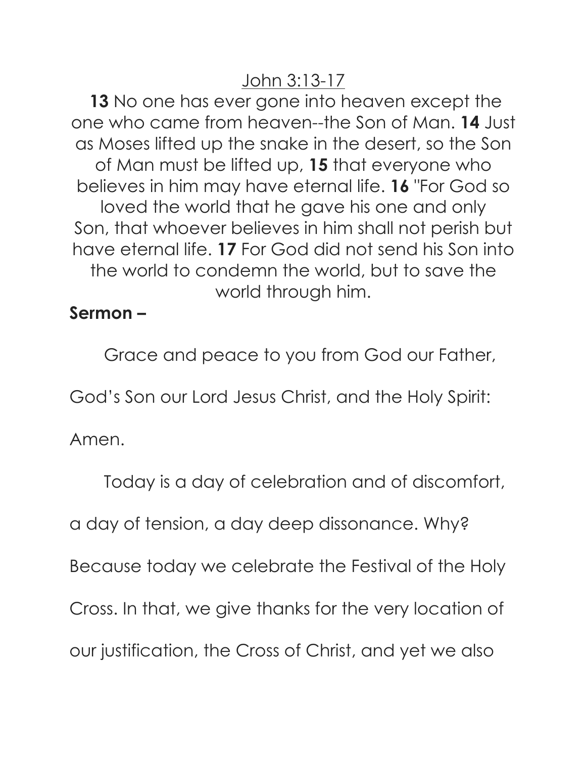# John 3:13-17

**13** No one has ever gone into heaven except the one who came from heaven--the Son of Man. **14** Just as Moses lifted up the snake in the desert, so the Son of Man must be lifted up, **15** that everyone who believes in him may have eternal life. **16** "For God so loved the world that he gave his one and only Son, that whoever believes in him shall not perish but have eternal life. **17** For God did not send his Son into the world to condemn the world, but to save the world through him.

# **Sermon –**

Grace and peace to you from God our Father,

God's Son our Lord Jesus Christ, and the Holy Spirit:

Amen.

Today is a day of celebration and of discomfort,

a day of tension, a day deep dissonance. Why?

Because today we celebrate the Festival of the Holy

Cross. In that, we give thanks for the very location of

our justification, the Cross of Christ, and yet we also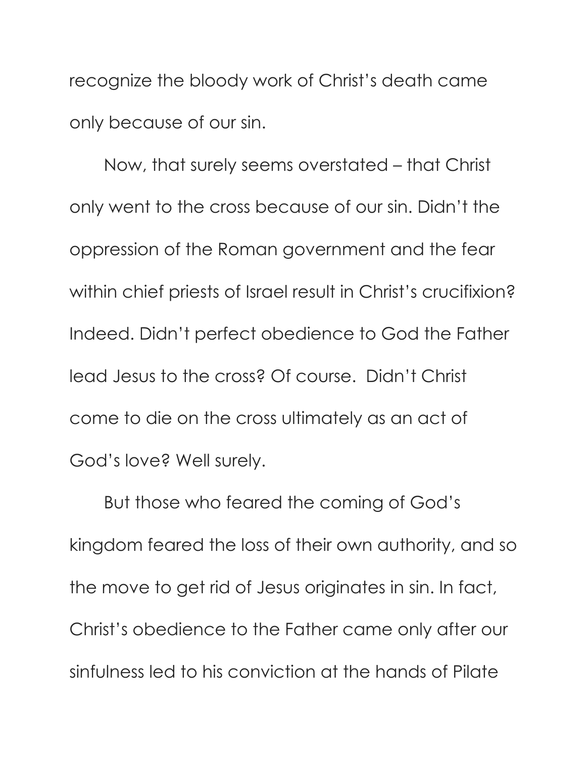recognize the bloody work of Christ's death came only because of our sin.

Now, that surely seems overstated – that Christ only went to the cross because of our sin. Didn't the oppression of the Roman government and the fear within chief priests of Israel result in Christ's crucifixion? Indeed. Didn't perfect obedience to God the Father lead Jesus to the cross? Of course. Didn't Christ come to die on the cross ultimately as an act of God's love? Well surely.

But those who feared the coming of God's kingdom feared the loss of their own authority, and so the move to get rid of Jesus originates in sin. In fact, Christ's obedience to the Father came only after our sinfulness led to his conviction at the hands of Pilate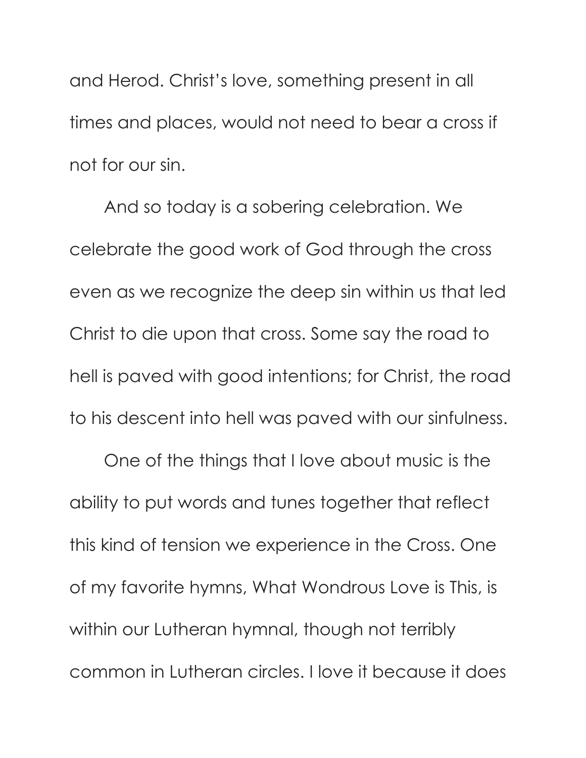and Herod. Christ's love, something present in all times and places, would not need to bear a cross if not for our sin.

And so today is a sobering celebration. We celebrate the good work of God through the cross even as we recognize the deep sin within us that led Christ to die upon that cross. Some say the road to hell is paved with good intentions; for Christ, the road to his descent into hell was paved with our sinfulness.

One of the things that I love about music is the ability to put words and tunes together that reflect this kind of tension we experience in the Cross. One of my favorite hymns, What Wondrous Love is This, is within our Lutheran hymnal, though not terribly common in Lutheran circles. I love it because it does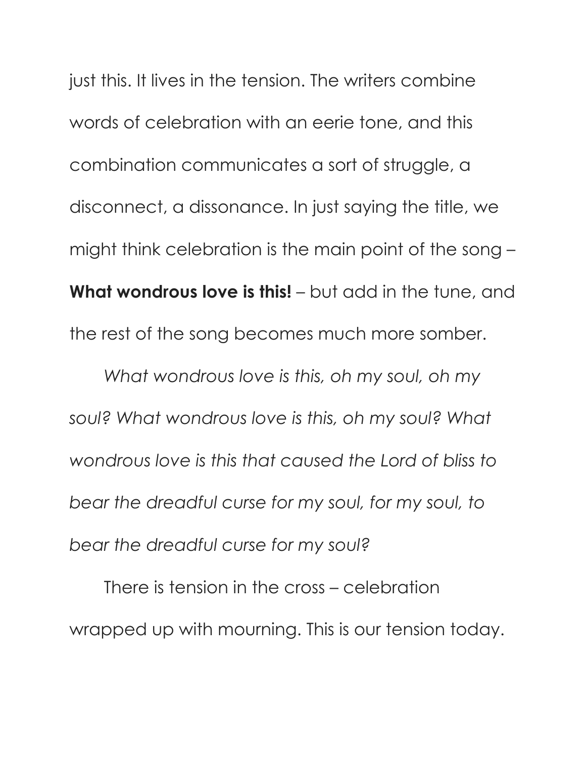just this. It lives in the tension. The writers combine words of celebration with an eerie tone, and this combination communicates a sort of struggle, a disconnect, a dissonance. In just saying the title, we might think celebration is the main point of the song – **What wondrous love is this!** – but add in the tune, and the rest of the song becomes much more somber.

*What wondrous love is this, oh my soul, oh my soul? What wondrous love is this, oh my soul? What wondrous love is this that caused the Lord of bliss to bear the dreadful curse for my soul, for my soul, to bear the dreadful curse for my soul?* 

There is tension in the cross – celebration wrapped up with mourning. This is our tension today.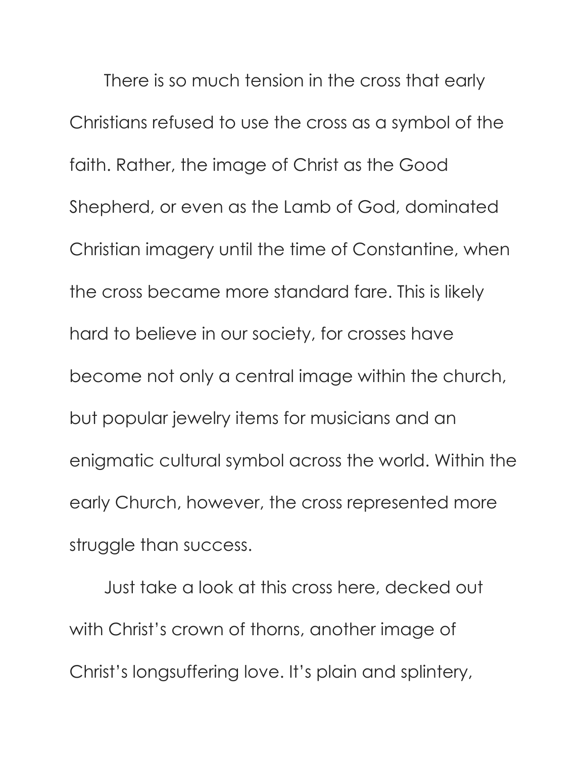There is so much tension in the cross that early Christians refused to use the cross as a symbol of the faith. Rather, the image of Christ as the Good Shepherd, or even as the Lamb of God, dominated Christian imagery until the time of Constantine, when the cross became more standard fare. This is likely hard to believe in our society, for crosses have become not only a central image within the church, but popular jewelry items for musicians and an enigmatic cultural symbol across the world. Within the early Church, however, the cross represented more struggle than success.

Just take a look at this cross here, decked out with Christ's crown of thorns, another image of Christ's longsuffering love. It's plain and splintery,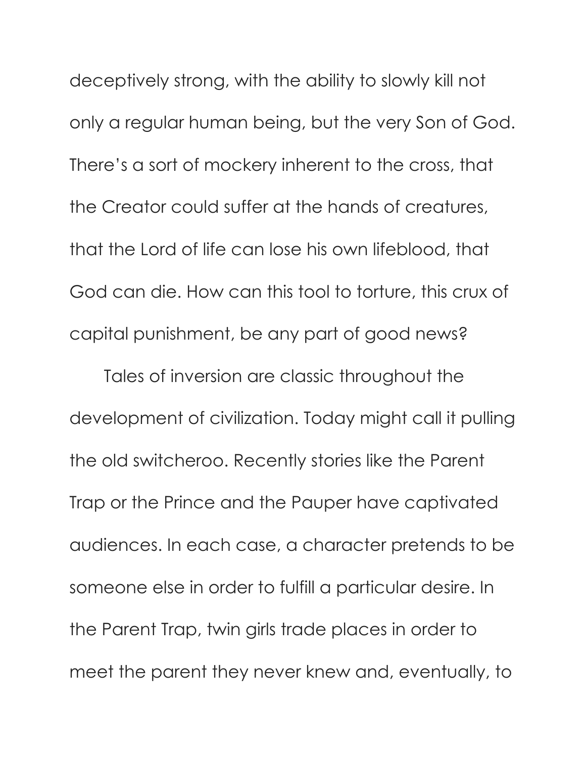deceptively strong, with the ability to slowly kill not only a regular human being, but the very Son of God. There's a sort of mockery inherent to the cross, that the Creator could suffer at the hands of creatures, that the Lord of life can lose his own lifeblood, that God can die. How can this tool to torture, this crux of capital punishment, be any part of good news?

Tales of inversion are classic throughout the development of civilization. Today might call it pulling the old switcheroo. Recently stories like the Parent Trap or the Prince and the Pauper have captivated audiences. In each case, a character pretends to be someone else in order to fulfill a particular desire. In the Parent Trap, twin girls trade places in order to meet the parent they never knew and, eventually, to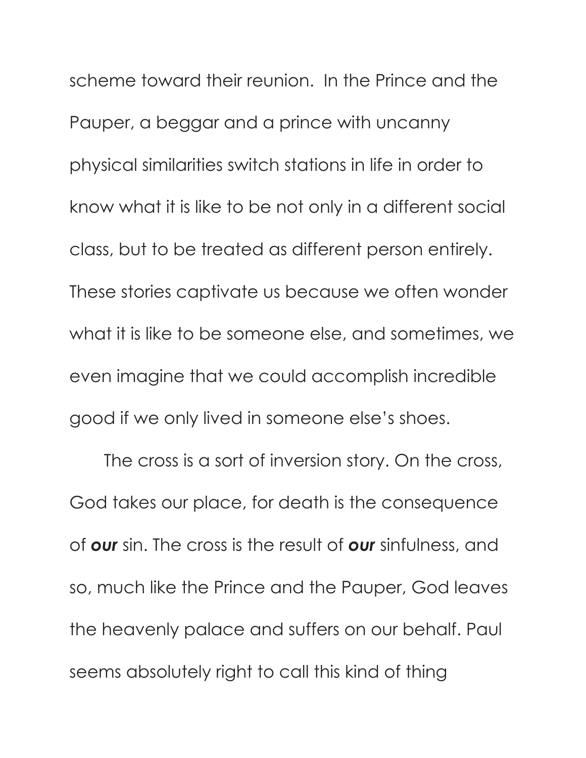scheme toward their reunion. In the Prince and the Pauper, a beggar and a prince with uncanny physical similarities switch stations in life in order to know what it is like to be not only in a different social class, but to be treated as different person entirely. These stories captivate us because we often wonder what it is like to be someone else, and sometimes, we even imagine that we could accomplish incredible good if we only lived in someone else's shoes.

The cross is a sort of inversion story. On the cross, God takes our place, for death is the consequence of *our* sin. The cross is the result of *our* sinfulness, and so, much like the Prince and the Pauper, God leaves the heavenly palace and suffers on our behalf. Paul seems absolutely right to call this kind of thing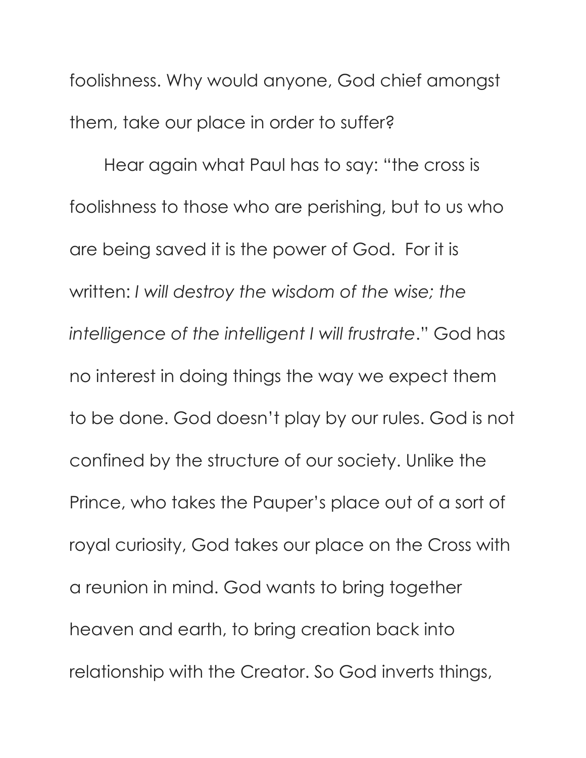foolishness. Why would anyone, God chief amongst them, take our place in order to suffer?

Hear again what Paul has to say: "the cross is foolishness to those who are perishing, but to us who are being saved it is the power of God. For it is written: *I will destroy the wisdom of the wise; the intelligence of the intelligent I will frustrate*." God has no interest in doing things the way we expect them to be done. God doesn't play by our rules. God is not confined by the structure of our society. Unlike the Prince, who takes the Pauper's place out of a sort of royal curiosity, God takes our place on the Cross with a reunion in mind. God wants to bring together heaven and earth, to bring creation back into relationship with the Creator. So God inverts things,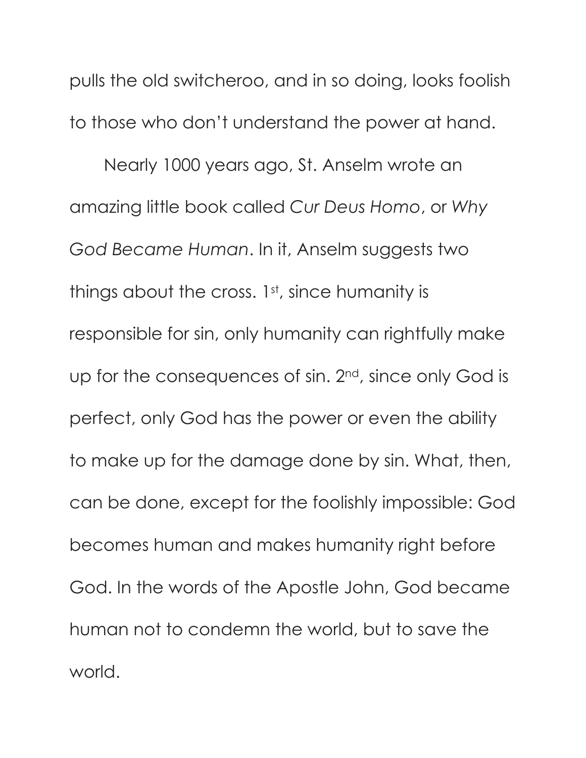pulls the old switcheroo, and in so doing, looks foolish to those who don't understand the power at hand.

Nearly 1000 years ago, St. Anselm wrote an amazing little book called *Cur Deus Homo*, or *Why God Became Human*. In it, Anselm suggests two things about the cross. 1st, since humanity is responsible for sin, only humanity can rightfully make up for the consequences of sin. 2<sup>nd</sup>, since only God is perfect, only God has the power or even the ability to make up for the damage done by sin. What, then, can be done, except for the foolishly impossible: God becomes human and makes humanity right before God. In the words of the Apostle John, God became human not to condemn the world, but to save the world.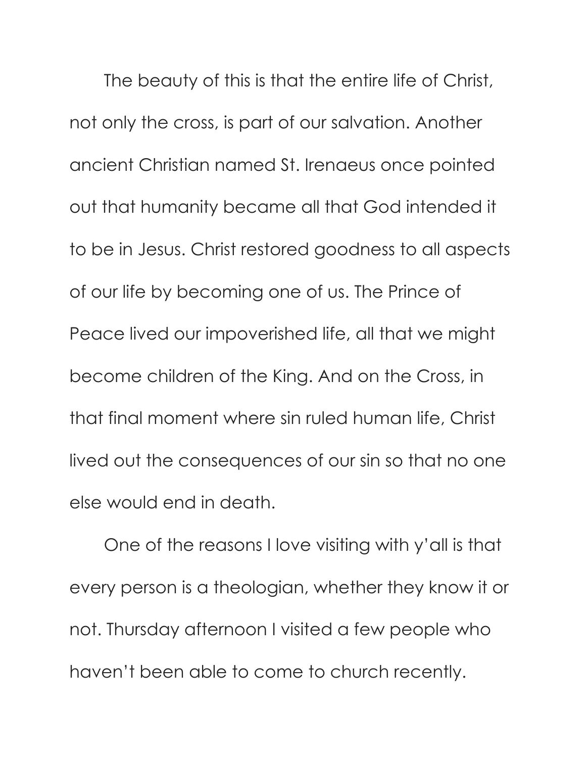The beauty of this is that the entire life of Christ, not only the cross, is part of our salvation. Another ancient Christian named St. Irenaeus once pointed out that humanity became all that God intended it to be in Jesus. Christ restored goodness to all aspects of our life by becoming one of us. The Prince of Peace lived our impoverished life, all that we might become children of the King. And on the Cross, in that final moment where sin ruled human life, Christ lived out the consequences of our sin so that no one else would end in death.

One of the reasons I love visiting with y'all is that every person is a theologian, whether they know it or not. Thursday afternoon I visited a few people who haven't been able to come to church recently.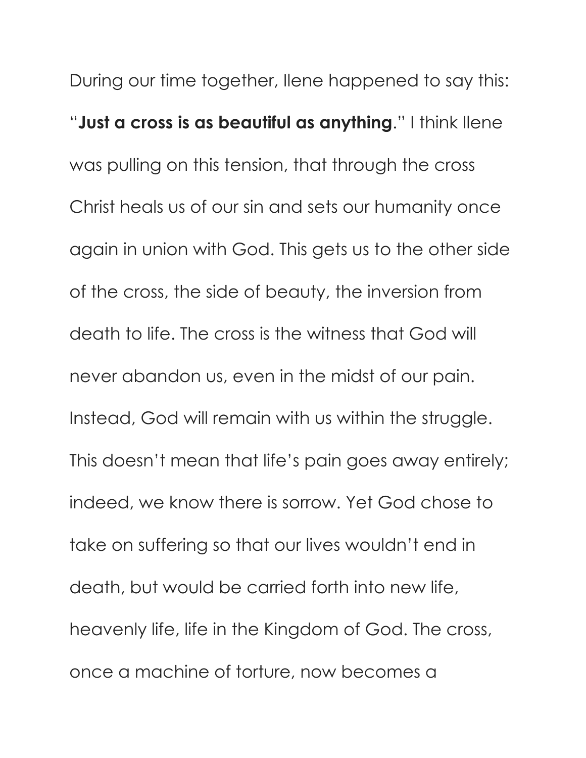During our time together, Ilene happened to say this: "Just a cross is as beautiful as anything." I think llene was pulling on this tension, that through the cross Christ heals us of our sin and sets our humanity once again in union with God. This gets us to the other side of the cross, the side of beauty, the inversion from death to life. The cross is the witness that God will never abandon us, even in the midst of our pain. Instead, God will remain with us within the struggle. This doesn't mean that life's pain goes away entirely; indeed, we know there is sorrow. Yet God chose to take on suffering so that our lives wouldn't end in death, but would be carried forth into new life, heavenly life, life in the Kingdom of God. The cross, once a machine of torture, now becomes a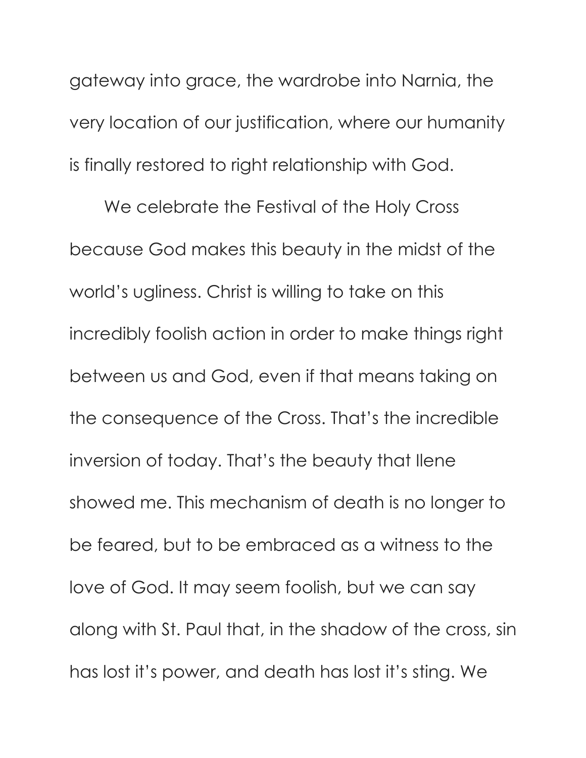gateway into grace, the wardrobe into Narnia, the very location of our justification, where our humanity is finally restored to right relationship with God.

We celebrate the Festival of the Holy Cross because God makes this beauty in the midst of the world's ugliness. Christ is willing to take on this incredibly foolish action in order to make things right between us and God, even if that means taking on the consequence of the Cross. That's the incredible inversion of today. That's the beauty that Ilene showed me. This mechanism of death is no longer to be feared, but to be embraced as a witness to the love of God. It may seem foolish, but we can say along with St. Paul that, in the shadow of the cross, sin has lost it's power, and death has lost it's sting. We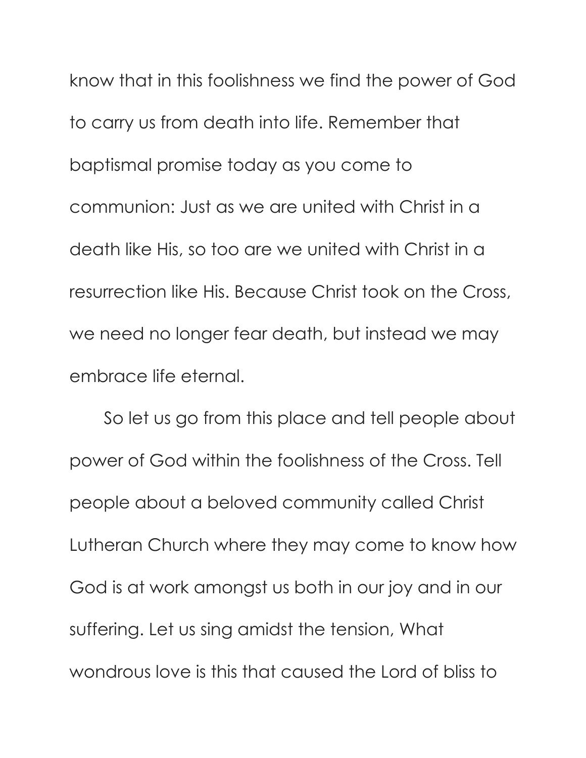know that in this foolishness we find the power of God to carry us from death into life. Remember that baptismal promise today as you come to communion: Just as we are united with Christ in a death like His, so too are we united with Christ in a resurrection like His. Because Christ took on the Cross, we need no longer fear death, but instead we may embrace life eternal.

So let us go from this place and tell people about power of God within the foolishness of the Cross. Tell people about a beloved community called Christ Lutheran Church where they may come to know how God is at work amongst us both in our joy and in our suffering. Let us sing amidst the tension, What wondrous love is this that caused the Lord of bliss to